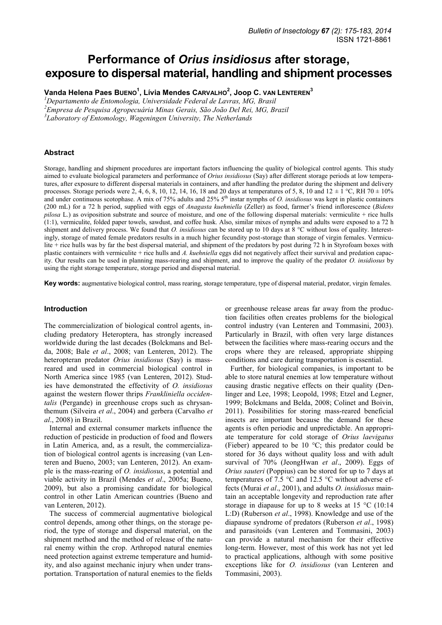# **Performance of** *Orius insidiosus* **after storage, exposure to dispersal material, handling and shipment processes**

**Vanda Helena Paes BUENO<sup>1</sup> , Lívia Mendes CARVALHO<sup>2</sup> , Joop C. VAN LENTEREN<sup>3</sup>**

*<sup>1</sup>Departamento de Entomologia, Universidade Federal de Lavras, MG, Brasil* 

*<sup>2</sup>Empresa de Pesquisa Agropecuária Minas Gerais, São João Del Rei, MG, Brazil* 

*3 Laboratory of Entomology, Wageningen University, The Netherlands* 

## **Abstract**

Storage, handling and shipment procedures are important factors influencing the quality of biological control agents. This study aimed to evaluate biological parameters and performance of *Orius insidiosus* (Say) after different storage periods at low temperatures, after exposure to different dispersal materials in containers, and after handling the predator during the shipment and delivery processes. Storage periods were 2, 4, 6, 8, 10, 12, 14, 16, 18 and 20 days at temperatures of 5, 8, 10 and 12  $\pm$  1 °C, RH 70  $\pm$  10% and under continuous scotophase. A mix of 75% adults and 25% 5<sup>th</sup> instar nymphs of *O. insidiosus* was kept in plastic containers (200 mL) for a 72 h period, supplied with eggs of *Anagasta kuehniella* (Zeller) as food, farmer's friend inflorescence (*Bidens pilosa* L.) as oviposition substrate and source of moisture, and one of the following dispersal materials: vermiculite + rice hulls (1:1), vermiculite, folded paper towels, sawdust, and coffee husk. Also, similar mixes of nymphs and adults were exposed to a 72 h shipment and delivery process. We found that *O. insidiosus* can be stored up to 10 days at 8 °C without loss of quality. Interestingly, storage of mated female predators results in a much higher fecundity post-storage than storage of virgin females. Vermiculite + rice hulls was by far the best dispersal material, and shipment of the predators by post during 72 h in Styrofoam boxes with plastic containers with vermiculite + rice hulls and *A. kuehniella* eggs did not negatively affect their survival and predation capacity. Our results can be used in planning mass-rearing and shipment, and to improve the quality of the predator *O. insidiosus* by using the right storage temperature, storage period and dispersal material.

**Key words:** augmentative biological control, mass rearing, storage temperature, type of dispersal material, predator, virgin females.

#### **Introduction**

The commercialization of biological control agents, including predatory Heteroptera, has strongly increased worldwide during the last decades (Bolckmans and Belda, 2008; Bale *et al*., 2008; van Lenteren, 2012). The heteropteran predator *Orius insidiosus* (Say) is massreared and used in commercial biological control in North America since 1985 (van Lenteren, 2012). Studies have demonstrated the effectivity of *O. insidiosus* against the western flower thrips *Frankliniella occidentalis* (Pergande) in greenhouse crops such as chrysanthemum (Silveira *et al*., 2004) and gerbera (Carvalho *et al*., 2008) in Brazil.

Internal and external consumer markets influence the reduction of pesticide in production of food and flowers in Latin America, and, as a result, the commercialization of biological control agents is increasing (van Lenteren and Bueno, 2003; van Lenteren, 2012). An example is the mass-rearing of *O. insidiosus*, a potential and viable activity in Brazil (Mendes *et al*., 2005a; Bueno, 2009), but also a promising candidate for biological control in other Latin American countries (Bueno and van Lenteren, 2012).

The success of commercial augmentative biological control depends, among other things, on the storage period, the type of storage and dispersal material, on the shipment method and the method of release of the natural enemy within the crop. Arthropod natural enemies need protection against extreme temperature and humidity, and also against mechanic injury when under transportation. Transportation of natural enemies to the fields or greenhouse release areas far away from the production facilities often creates problems for the biological control industry (van Lenteren and Tommasini, 2003). Particularly in Brazil, with often very large distances between the facilities where mass-rearing occurs and the crops where they are released, appropriate shipping conditions and care during transportation is essential.

Further, for biological companies, is important to be able to store natural enemies at low temperature without causing drastic negative effects on their quality (Denlinger and Lee, 1998; Leopold, 1998; Etzel and Legner, 1999; Bolckmans and Belda, 2008; Colinet and Boivin, 2011). Possibilities for storing mass-reared beneficial insects are important because the demand for these agents is often periodic and unpredictable. An appropriate temperature for cold storage of *Orius laevigatus*  (Fieber) appeared to be 10 °C; this predator could be stored for 36 days without quality loss and with adult survival of 70% (JeongHwan *et al*., 2009). Eggs of *Orius sauteri* (Poppius) can be stored for up to 7 days at temperatures of 7.5 °C and 12.5 °C without adverse effects (Murai *et al*., 2001), and adults *O. insidiosus* maintain an acceptable longevity and reproduction rate after storage in diapause for up to 8 weeks at  $15 \text{ °C}$  (10:14) L:D) (Ruberson *et al*., 1998). Knowledge and use of the diapause syndrome of predators (Ruberson *et al*., 1998) and parasitoids (van Lenteren and Tommasini, 2003) can provide a natural mechanism for their effective long-term. However, most of this work has not yet led to practical applications, although with some positive exceptions like for *O. insidiosus* (van Lenteren and Tommasini, 2003).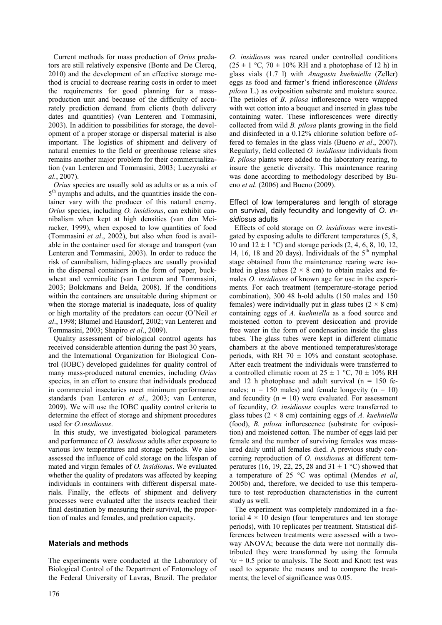Current methods for mass production of *Orius* predators are still relatively expensive (Bonte and De Clercq, 2010) and the development of an effective storage method is crucial to decrease rearing costs in order to meet the requirements for good planning for a massproduction unit and because of the difficulty of accurately prediction demand from clients (both delivery dates and quantities) (van Lenteren and Tommasini, 2003). In addition to possibilities for storage, the development of a proper storage or dispersal material is also important. The logistics of shipment and delivery of natural enemies to the field or greenhouse release sites remains another major problem for their commercialization (van Lenteren and Tommasini, 2003; Luczynski *et al.*, 2007).

*Orius* species are usually sold as adults or as a mix of 5<sup>th</sup> nymphs and adults, and the quantities inside the container vary with the producer of this natural enemy. *Orius* species, including *O. insidiosus*, can exhibit cannibalism when kept at high densities (van den Meiracker, 1999), when exposed to low quantities of food (Tommasini *et al*., 2002), but also when food is available in the container used for storage and transport (van Lenteren and Tommasini, 2003). In order to reduce the risk of cannibalism, hiding-places are usually provided in the dispersal containers in the form of paper, buckwheat and vermiculite (van Lenteren and Tommasini, 2003; Bolckmans and Belda, 2008). If the conditions within the containers are unsuitable during shipment or when the storage material is inadequate, loss of quality or high mortality of the predators can occur (O'Neil *et al*., 1998; Blumel and Hausdorf, 2002; van Lenteren and Tommasini, 2003; Shapiro *et al*., 2009).

Quality assessment of biological control agents has received considerable attention during the past 30 years, and the International Organization for Biological Control (IOBC) developed guidelines for quality control of many mass-produced natural enemies, including *Orius*  species, in an effort to ensure that individuals produced in commercial insectaries meet minimum performance standards (van Lenteren *et al*., 2003; van Lenteren, 2009). We will use the IOBC quality control criteria to determine the effect of storage and shipment procedures used for *O.insidiosus*.

In this study, we investigated biological parameters and performance of *O. insidiosus* adults after exposure to various low temperatures and storage periods. We also assessed the influence of cold storage on the lifespan of mated and virgin females of *O. insidiosus*. We evaluated whether the quality of predators was affected by keeping individuals in containers with different dispersal materials. Finally, the effects of shipment and delivery processes were evaluated after the insects reached their final destination by measuring their survival, the proportion of males and females, and predation capacity.

# **Materials and methods**

The experiments were conducted at the Laboratory of Biological Control of the Department of Entomology of the Federal University of Lavras, Brazil. The predator

*O. insidiosu*s was reared under controlled conditions  $(25 \pm 1 \degree C, 70 \pm 10\% \text{ RH}$  and a photophase of 12 h) in glass vials (1.7 l) with *Anagasta kuehniella* (Zeller) eggs as food and farmer's friend inflorescence (*Bidens pilosa* L.) as oviposition substrate and moisture source. The petioles of *B. pilosa* inflorescence were wrapped with wet cotton into a bouquet and inserted in glass tube containing water. These inflorescences were directly collected from wild *B. pilosa* plants growing in the field and disinfected in a 0.12% chlorine solution before offered to females in the glass vials (Bueno *et al*., 2007). Regularly, field collected *O. insidiosus* individuals from *B. pilosa* plants were added to the laboratory rearing, to insure the genetic diversity. This maintenance rearing was done according to methodology described by Bueno *et al*. (2006) and Bueno (2009).

#### Effect of low temperatures and length of storage on survival, daily fecundity and longevity of *O. insidiosus* adults

Effects of cold storage on *O. insidiosus* were investigated by exposing adults to different temperatures (5, 8, 10 and  $12 \pm 1$  °C) and storage periods (2, 4, 6, 8, 10, 12, 14, 16, 18 and 20 days). Individuals of the  $5<sup>th</sup>$  nymphal stage obtained from the maintenance rearing were isolated in glass tubes ( $2 \times 8$  cm) to obtain males and females *O. insidiosus* of known age for use in the experiments. For each treatment (temperature-storage period combination), 300 48 h-old adults (150 males and 150 females) were individually put in glass tubes ( $2 \times 8$  cm) containing eggs of *A. kuehniella* as a food source and moistened cotton to prevent desiccation and provide free water in the form of condensation inside the glass tubes. The glass tubes were kept in different climatic chambers at the above mentioned temperatures/storage periods, with RH 70  $\pm$  10% and constant scotophase. After each treatment the individuals were transferred to a controlled climatic room at  $25 \pm 1$  °C,  $70 \pm 10\%$  RH and 12 h photophase and adult survival  $(n = 150$  females;  $n = 150$  males) and female longevity  $(n = 10)$ and fecundity  $(n = 10)$  were evaluated. For assessment of fecundity, *O. insidiosus* couples were transferred to glass tubes (2 × 8 cm) containing eggs of *A. kuehniella* (food), *B. pilosa* inflorescence (substrate for oviposition) and moistened cotton. The number of eggs laid per female and the number of surviving females was measured daily until all females died. A previous study concerning reproduction of *O. insidiosus* at different temperatures (16, 19, 22, 25, 28 and  $31 \pm 1$  °C) showed that a temperature of 25 °C was optimal (Mendes *et al*, 2005b) and, therefore, we decided to use this temperature to test reproduction characteristics in the current study as well.

The experiment was completely randomized in a factorial  $4 \times 10$  design (four temperatures and ten storage periods), with 10 replicates per treatment. Statistical differences between treatments were assessed with a twoway ANOVA; because the data were not normally distributed they were transformed by using the formula  $\sqrt{x}$  + 0.5 prior to analysis. The Scott and Knott test was used to separate the means and to compare the treatments; the level of significance was 0.05.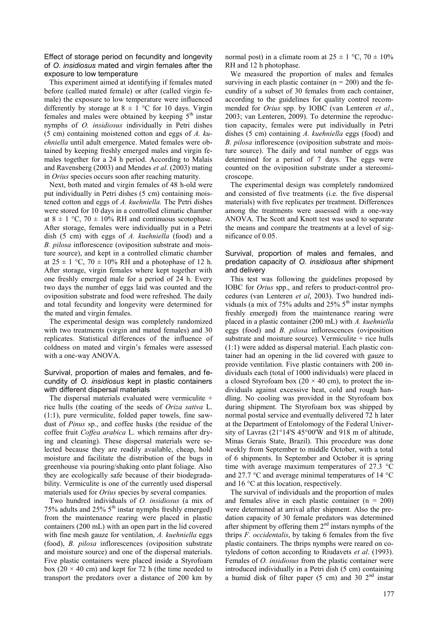Effect of storage period on fecundity and longevity of *O. insidiosus* mated and virgin females after the exposure to low temperature

This experiment aimed at identifying if females mated before (called mated female) or after (called virgin female) the exposure to low temperature were influenced differently by storage at  $8 \pm 1$  °C for 10 days. Virgin females and males were obtained by keeping 5<sup>th</sup> instar nymphs of *O. insidiosus* individually in Petri dishes (5 cm) containing moistened cotton and eggs of *A. kuehniella* until adult emergence. Mated females were obtained by keeping freshly emerged males and virgin females together for a 24 h period. According to Malais and Ravensberg (2003) and Mendes *et al*. (2003) mating in *Orius* species occurs soon after reaching maturity.

Next, both mated and virgin females of 48 h-old were put individually in Petri dishes (5 cm) containing moistened cotton and eggs of *A. kuehniella.* The Petri dishes were stored for 10 days in a controlled climatic chamber at  $8 \pm 1$  °C, 70  $\pm$  10% RH and continuous scotophase. After storage, females were individually put in a Petri dish (5 cm) with eggs of *A. kuehniella* (food) and a *B. pilosa* inflorescence (oviposition substrate and moisture source), and kept in a controlled climatic chamber at  $25 \pm 1$  °C,  $70 \pm 10\%$  RH and a photophase of 12 h. After storage, virgin females where kept together with one freshly emerged male for a period of 24 h. Every two days the number of eggs laid was counted and the oviposition substrate and food were refreshed. The daily and total fecundity and longevity were determined for the mated and virgin females.

The experimental design was completely randomized with two treatments (virgin and mated females) and 30 replicates. Statistical differences of the influence of coldness on mated and virgin's females were assessed with a one-way ANOVA.

#### Survival, proportion of males and females, and fecundity of *O. insidiosus* kept in plastic containers with different dispersal materials

The dispersal materials evaluated were vermiculite + rice hulls (the coating of the seeds of *Oriza sativa* L. (1:1), pure vermiculite, folded paper towels, fine sawdust of *Pinus* sp., and coffee husks (the residue of the coffee fruit *Coffea arabica* L. which remains after drying and cleaning). These dispersal materials were selected because they are readily available, cheap, hold moisture and facilitate the distribution of the bugs in greenhouse via pouring/shaking onto plant foliage. Also they are ecologically safe because of their biodegradability. Vermiculite is one of the currently used dispersal materials used for *Orius* species by several companies.

Two hundred individuals of *O. insidiosus* (a mix of 75% adults and 25%  $5<sup>th</sup>$  instar nymphs freshly emerged) from the maintenance rearing were placed in plastic containers (200 mL) with an open part in the lid covered with fine mesh gauze for ventilation, *A. kuehniella* eggs (food), *B. pilosa* inflorescences (oviposition substrate and moisture source) and one of the dispersal materials. Five plastic containers were placed inside a Styrofoam box (20  $\times$  40 cm) and kept for 72 h (the time needed to transport the predators over a distance of 200 km by

normal post) in a climate room at  $25 \pm 1$  °C,  $70 \pm 10\%$ RH and 12 h photophase.

We measured the proportion of males and females surviving in each plastic container  $(n = 200)$  and the fecundity of a subset of 30 females from each container, according to the guidelines for quality control recommended for *Orius* spp. by IOBC (van Lenteren *et al*., 2003; van Lenteren, 2009). To determine the reproduction capacity, females were put individually in Petri dishes (5 cm) containing *A. kuehniella* eggs (food) and *B. pilosa* inflorescence (oviposition substrate and moisture source). The daily and total number of eggs was determined for a period of 7 days. The eggs were counted on the oviposition substrate under a stereomicroscope.

The experimental design was completely randomized and consisted of five treatments (i.e. the five dispersal materials) with five replicates per treatment. Differences among the treatments were assessed with a one-way ANOVA. The Scott and Knott test was used to separate the means and compare the treatments at a level of significance of 0.05.

## Survival, proportion of males and females, and predation capacity of *O. insidiosus* after shipment and delivery

This test was following the guidelines proposed by IOBC for *Orius* spp., and refers to product-control procedures (van Lenteren *et al*, 2003). Two hundred individuals (a mix of 75% adults and  $25\%$  5<sup>th</sup> instar nymphs freshly emerged) from the maintenance rearing were placed in a plastic container (200 mL) with *A. kuehniella* eggs (food) and *B. pilosa* inflorescences (oviposition substrate and moisture source). Vermiculite  $+$  rice hulls (1:1) were added as dispersal material. Each plastic container had an opening in the lid covered with gauze to provide ventilation. Five plastic containers with 200 individuals each (total of 1000 individuals) were placed in a closed Styrofoam box (20  $\times$  40 cm), to protect the individuals against excessive heat, cold and rough handling. No cooling was provided in the Styrofoam box during shipment. The Styrofoam box was shipped by normal postal service and eventually delivered 72 h later at the Department of Entolomogy of the Federal University of Lavras (21°14'S 45°00'W and 918 m of altitude, Minas Gerais State, Brazil). This procedure was done weekly from September to middle October, with a total of 6 shipments. In September and October it is spring time with average maximum temperatures of 27.3 °C and 27.7 °C and average minimal temperatures of 14 °C and 16 °C at this location, respectively.

The survival of individuals and the proportion of males and females alive in each plastic container  $(n = 200)$ were determined at arrival after shipment. Also the predation capacity of 30 female predators was determined after shipment by offering them  $2<sup>nd</sup>$  instars nymphs of the thrips *F. occidentalis*, by taking 6 females from the five plastic containers. The thrips nymphs were reared on cotyledons of cotton according to Riudavets *et al*. (1993). Females of *O. insidiosus* from the plastic container were introduced individually in a Petri dish (5 cm) containing a humid disk of filter paper (5 cm) and 30  $2<sup>nd</sup>$  instar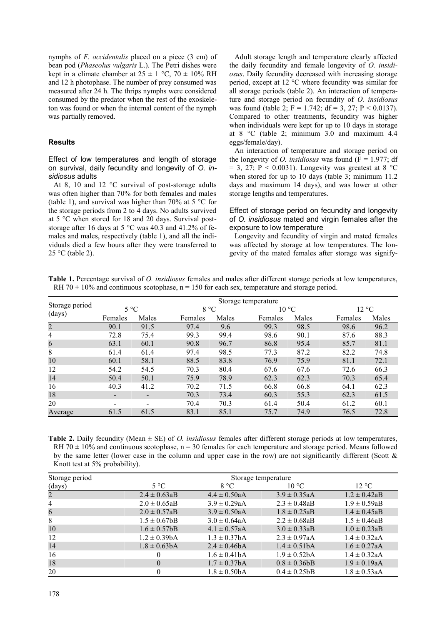nymphs of *F. occidentalis* placed on a piece (3 cm) of bean pod (*Phaseolus vulgaris* L.). The Petri dishes were kept in a climate chamber at  $25 \pm 1$  °C,  $70 \pm 10\%$  RH and 12 h photophase. The number of prey consumed was measured after 24 h. The thrips nymphs were considered consumed by the predator when the rest of the exoskeleton was found or when the internal content of the nymph was partially removed.

### **Results**

Effect of low temperatures and length of storage on survival, daily fecundity and longevity of *O. insidiosus* adults

At 8, 10 and 12 °C survival of post-storage adults was often higher than 70% for both females and males (table 1), and survival was higher than 70% at 5  $\degree$ C for the storage periods from 2 to 4 days. No adults survived at 5 °C when stored for 18 and 20 days. Survival poststorage after 16 days at 5 °C was 40.3 and 41.2% of females and males, respectively (table 1), and all the individuals died a few hours after they were transferred to  $25 °C$  (table 2).

Adult storage length and temperature clearly affected the daily fecundity and female longevity of *O. insidiosus*. Daily fecundity decreased with increasing storage period, except at 12 °C where fecundity was similar for all storage periods (table 2). An interaction of temperature and storage period on fecundity of *O. insidiosus* was found (table 2;  $F = 1.742$ ;  $df = 3$ , 27;  $P < 0.0137$ ). Compared to other treatments, fecundity was higher when individuals were kept for up to 10 days in storage at 8 °C (table 2; minimum 3.0 and maximum 4.4 eggs/female/day).

An interaction of temperature and storage period on the longevity of *O. insidiosus* was found  $(F = 1.977; df)$  $= 3, 27; P < 0.0031$ . Longevity was greatest at 8 °C when stored for up to 10 days (table 3; minimum 11.2 days and maximum 14 days), and was lower at other storage lengths and temperatures.

## Effect of storage period on fecundity and longevity of *O. insidiosus* mated and virgin females after the exposure to low temperature

Longevity and fecundity of virgin and mated females was affected by storage at low temperatures. The longevity of the mated females after storage was signify-

**Table 1.** Percentage survival of *O. insidiosus* females and males after different storage periods at low temperatures, RH 70  $\pm$  10% and continuous scotophase, n = 150 for each sex, temperature and storage period.

|                | Storage temperature      |                          |         |              |         |                |         |                 |  |
|----------------|--------------------------|--------------------------|---------|--------------|---------|----------------|---------|-----------------|--|
| Storage period | $5^{\circ}$ C            |                          |         | $8^{\circ}C$ |         | $10^{\circ}$ C |         | $12 \text{ °C}$ |  |
| (days)         | Females                  | Males                    | Females | Males        | Females | Males          | Females | Males           |  |
| $\overline{c}$ | 90.1                     | 91.5                     | 97.4    | 9.6          | 99.3    | 98.5           | 98.6    | 96.2            |  |
| $\overline{4}$ | 72.8                     | 75.4                     | 99.3    | 99.4         | 98.6    | 90.1           | 87.6    | 88.3            |  |
| 6              | 63.1                     | 60.1                     | 90.8    | 96.7         | 86.8    | 95.4           | 85.7    | 81.1            |  |
| 8              | 61.4                     | 61.4                     | 97.4    | 98.5         | 77.3    | 87.2           | 82.2    | 74.8            |  |
| 10             | 60.1                     | 58.1                     | 88.5    | 83.8         | 76.9    | 75.9           | 81.1    | 72.1            |  |
| 12             | 54.2                     | 54.5                     | 70.3    | 80.4         | 67.6    | 67.6           | 72.6    | 66.3            |  |
| 14             | 50.4                     | 50.1                     | 75.9    | 78.9         | 62.3    | 62.3           | 70.3    | 65.4            |  |
| 16             | 40.3                     | 41.2                     | 70.2    | 71.5         | 66.8    | 66.8           | 64.1    | 62.3            |  |
| 18             | $\overline{\phantom{a}}$ | $\blacksquare$           | 70.3    | 73.4         | 60.3    | 55.3           | 62.3    | 61.5            |  |
| 20             | $\overline{\phantom{a}}$ | $\overline{\phantom{0}}$ | 70.4    | 70.3         | 61.4    | 50.4           | 61.2    | 60.1            |  |
| Average        | 61.5                     | 61.5                     | 83.1    | 85.1         | 75.7    | 74.9           | 76.5    | 72.8            |  |

**Table 2.** Daily fecundity (Mean ± SE) of *O. insidiosus* females after different storage periods at low temperatures, RH 70  $\pm$  10% and continuous scotophase, n = 30 females for each temperature and storage period. Means followed by the same letter (lower case in the column and upper case in the row) are not significantly different (Scott & Knott test at 5% probability).

| Storage period | Storage temperature |                   |                   |                   |  |
|----------------|---------------------|-------------------|-------------------|-------------------|--|
| (days)         | $5^{\circ}C$        | 8 °C              | $10^{\circ}$ C    | $12 \text{ °C}$   |  |
| $\overline{c}$ | $2.4 \pm 0.63$ aB   | $4.4 \pm 0.50$ aA | $3.9 \pm 0.35$ aA | $1.2 \pm 0.42$ aB |  |
| $\overline{4}$ | $2.0 \pm 0.65$ aB   | $3.9 \pm 0.29$ aA | $2.3 \pm 0.48$ aB | $1.9 \pm 0.59$ aB |  |
| 6              | $2.0 \pm 0.57$ aB   | $3.9 \pm 0.50$ aA | $1.8 \pm 0.25$ aB | $1.4 \pm 0.45$ aB |  |
| 8              | $1.5 \pm 0.67$ bB   | $3.0 \pm 0.64$ aA | $2.2 \pm 0.68$ aB | $1.5 \pm 0.46$ aB |  |
| 10             | $1.6 \pm 0.57$ bB   | $4.1 \pm 0.57$ aA | $3.0 \pm 0.33$ aB | $1.0 \pm 0.23$ aB |  |
| 12             | $1.2 \pm 0.39bA$    | $1.3 \pm 0.37$ bA | $2.3 \pm 0.97$ aA | $1.4 \pm 0.32$ aA |  |
| 14             | $1.8 \pm 0.63$ bA   | $2.4 \pm 0.46bA$  | $1.4 \pm 0.51bA$  | $1.6 \pm 0.27$ aA |  |
| 16             | $\theta$            | $1.6 \pm 0.41bA$  | $1.9 \pm 0.52bA$  | $1.4 \pm 0.32$ aA |  |
| 18             | $\Omega$            | $1.7 \pm 0.37bA$  | $0.8 \pm 0.36bB$  | $1.9 \pm 0.19$ aA |  |
| 20             |                     | $1.8 \pm 0.50bA$  | $0.4 \pm 0.25$ bB | $1.8 \pm 0.53$ aA |  |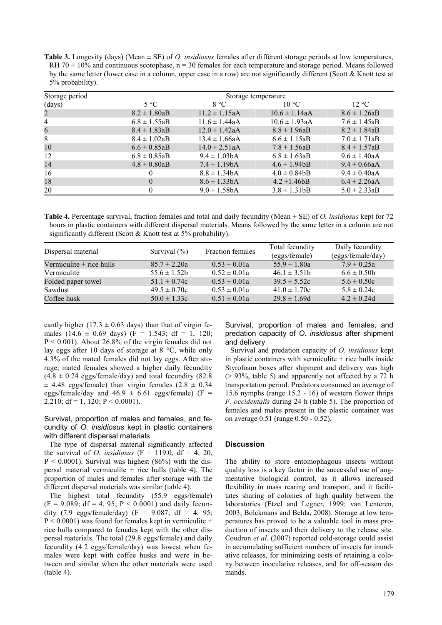**Table 3.** Longevity (days) (Mean ± SE) of *O. insidiosus* females after different storage periods at low temperatures, RH 70  $\pm$  10% and continuous scotophase, n = 30 females for each temperature and storage period. Means followed by the same letter (lower case in a column, upper case in a row) are not significantly different (Scott & Knott test at 5% probability).

| Storage period | Storage temperature |                    |                    |                   |  |
|----------------|---------------------|--------------------|--------------------|-------------------|--|
| (days)         | $5^{\circ}$ C       | 8 °C               | $10^{\circ}$ C     | $12 \text{ °C}$   |  |
| $\overline{2}$ | $8.2 \pm 1.80$ aB   | $11.2 \pm 1.15$ aA | $10.6 \pm 1.14$ aA | $8.6 \pm 1.26$ aB |  |
| $\overline{4}$ | $6.8 \pm 1.55$ aB   | $11.6 \pm 1.44$ aA | $10.6 \pm 1.93$ aA | $7.6 \pm 1.45$ aB |  |
| 6              | $8.4 \pm 1.83$ aB   | $12.0 \pm 1.42$ aA | $8.8 \pm 1.96aB$   | $8.2 \pm 1.84$ aB |  |
| 8              | $8.4 \pm 1.02aB$    | $13.4 \pm 1.66$ aA | $6.6 \pm 1.15$ aB  | $7.0 \pm 1.71$ aB |  |
| 10             | $6.6 \pm 0.85$ aB   | $14.0 \pm 2.51$ aA | $7.8 \pm 1.56$ aB  | $8.4 \pm 1.57$ aB |  |
| 12             | $6.8 \pm 0.85$ aB   | $9.4 \pm 1.03$ bA  | $6.8 \pm 1.63$ aB  | $9.6 \pm 1.40$ aA |  |
| 14             | $4.8 \pm 0.80$ aB   | $7.4 \pm 1.19bA$   | $4.6 \pm 1.94$     | $9.4 \pm 0.66$ aA |  |
| 16             |                     | $8.8 \pm 1.34$ bA  | $4.0 \pm 0.84$ bB  | $9.4 \pm 0.40$ aA |  |
| 18             | $\Omega$            | $8.6 \pm 1.33$ bA  | $4.2 \pm 1.46bB$   | $6.4 \pm 2.26$ aA |  |
| 20             |                     | $9.0 \pm 1.58$ bA  | $3.8 \pm 1.31$ bB  | $5.0 \pm 2.33$ aB |  |

**Table 4.** Percentage survival, fraction females and total and daily fecundity (Mean ± SE) of *O. insidiosus* kept for 72 hours in plastic containers with different dispersal materials. Means followed by the same letter in a column are not significantly different (Scott & Knott test at 5% probability).

| Dispersal material         | Survival $(\% )$ | Fraction females | Total fecundity  | Daily fecundity   |
|----------------------------|------------------|------------------|------------------|-------------------|
|                            |                  |                  | (eggs/female)    | (eggs/female/day) |
| Vermiculite $+$ rice hulls | $85.7 \pm 2.20a$ | $0.53 \pm 0.01a$ | $55.9 \pm 1.80a$ | $7.9 \pm 0.25a$   |
| Vermiculite                | $55.6 \pm 1.52$  | $0.52 \pm 0.01a$ | $46.1 \pm 3.51b$ | $6.6 \pm 0.50$    |
| Folded paper towel         | $51.1 \pm 0.74c$ | $0.53 \pm 0.01a$ | $39.5 \pm 5.52c$ | $5.6 \pm 0.50c$   |
| Sawdust                    | $49.5 \pm 0.70c$ | $0.53 \pm 0.01a$ | $41.0 \pm 1.70c$ | $5.8 \pm 0.24c$   |
| Coffee husk                | $50.0 \pm 1.33c$ | $0.51 \pm 0.01a$ | $29.8 \pm 1.69d$ | $4.2 \pm 0.24d$   |

cantly higher (17.3  $\pm$  0.63 days) than that of virgin females (14.6  $\pm$  0.69 days) (F = 1.543; df = 1, 120;  $P < 0.001$ ). About 26.8% of the virgin females did not lay eggs after 10 days of storage at 8 °C, while only 4.3% of the mated females did not lay eggs. After storage, mated females showed a higher daily fecundity  $(4.8 \pm 0.24 \text{ eggs/female/day})$  and total fecundity (82.8)  $\pm$  4.48 eggs/female) than virgin females (2.8  $\pm$  0.34 eggs/female/day and  $46.9 \pm 6.61$  eggs/female) (F = 2.210; df = 1, 120;  $P \le 0.0001$ ).

# Survival, proportion of males and females, and fecundity of *O. insidiosus* kept in plastic containers with different dispersal materials

The type of dispersal material significantly affected the survival of *O. insidiosus* ( $F = 119.0$ ,  $df = 4$ , 20,  $P < 0.0001$ ). Survival was highest (86%) with the dispersal material vermiculite + rice hulls (table 4). The proportion of males and females after storage with the different dispersal materials was similar (table 4).

The highest total fecundity (55.9 eggs/female)  $(F = 9.089; df = 4, 95; P < 0.0001)$  and daily fecundity (7.9 eggs/female/day) (F = 9.087; df = 4, 95;  $P < 0.0001$ ) was found for females kept in vermiculite + rice hulls compared to females kept with the other dispersal materials. The total (29.8 eggs/female) and daily fecundity (4.2 eggs/female/day) was lowest when females were kept with coffee husks and were in between and similar when the other materials were used (table 4).

Survival, proportion of males and females, and predation capacity of *O. insidiosus* after shipment and delivery

Survival and predation capacity of *O. insidiosus* kept in plastic containers with vermiculite  $+$  rice hulls inside Styrofoam boxes after shipment and delivery was high (> 93%, table 5) and apparently not affected by a 72 h transportation period. Predators consumed an average of 15.6 nymphs (range 15.2 - 16) of western flower thrips *F. occidentalis* during 24 h (table 5). The proportion of females and males present in the plastic container was on average 0.51 (range 0.50 - 0.52).

# **Discussion**

The ability to store entomophagous insects without quality loss is a key factor in the successful use of augmentative biological control, as it allows increased flexibility in mass rearing and transport, and it facilitates sharing of colonies of high quality between the laboratories (Etzel and Legner, 1999; van Lenteren, 2003; Bolckmans and Belda, 2008). Storage at low temperatures has proved to be a valuable tool in mass production of insects and their delivery to the release site. Coudron *et al*. (2007) reported cold-storage could assist in accumulating sufficient numbers of insects for inundative releases, for minimizing costs of retaining a colony between inoculative releases, and for off-season demands.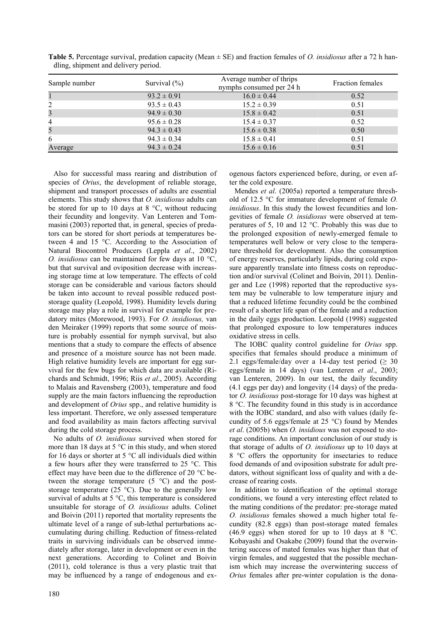| Sample number | Survival $(\% )$ | Average number of thrips<br>nymphs consumed per 24 h | <b>Fraction females</b> |
|---------------|------------------|------------------------------------------------------|-------------------------|
|               | $93.2 \pm 0.91$  | $16.0 \pm 0.44$                                      | 0.52                    |
| 2             | $93.5 \pm 0.43$  | $15.2 \pm 0.39$                                      | 0.51                    |
| 3             | $94.9 \pm 0.30$  | $15.8 \pm 0.42$                                      | 0.51                    |
| 4             | $95.6 \pm 0.28$  | $15.4 \pm 0.37$                                      | 0.52                    |
| 5             | $94.3 \pm 0.43$  | $15.6 \pm 0.38$                                      | 0.50                    |
| 6             | $94.3 \pm 0.34$  | $15.8 \pm 0.41$                                      | 0.51                    |
| Average       | $94.3 \pm 0.24$  | $15.6 \pm 0.16$                                      | 0.51                    |

**Table 5.** Percentage survival, predation capacity (Mean ± SE) and fraction females of *O. insidiosus* after a 72 h handling, shipment and delivery period.

Also for successful mass rearing and distribution of species of *Orius*, the development of reliable storage, shipment and transport processes of adults are essential elements. This study shows that *O. insidiosus* adults can be stored for up to 10 days at  $8^{\circ}$ C, without reducing their fecundity and longevity. Van Lenteren and Tommasini (2003) reported that, in general, species of predators can be stored for short periods at temperatures between 4 and 15 °C. According to the Association of Natural Biocontrol Producers (Leppla *et al*., 2002) *O. insidiosus* can be maintained for few days at 10 °C, but that survival and oviposition decrease with increasing storage time at low temperature. The effects of cold storage can be considerable and various factors should be taken into account to reveal possible reduced poststorage quality (Leopold, 1998). Humidity levels during storage may play a role in survival for example for predatory mites (Morewood, 1993). For *O. insidiosus,* van den Meiraker (1999) reports that some source of moisture is probably essential for nymph survival, but also mentions that a study to compare the effects of absence and presence of a moisture source has not been made. High relative humidity levels are important for egg survival for the few bugs for which data are available (Richards and Schmidt, 1996; Riis *et al*., 2005). According to Malais and Ravensberg (2003), temperature and food supply are the main factors influencing the reproduction and development of *Orius* spp., and relative humidity is less important. Therefore, we only assessed temperature and food availability as main factors affecting survival during the cold storage process.

No adults of *O. insidiosus* survived when stored for more than 18 days at 5 °C in this study, and when stored for 16 days or shorter at 5  $\degree$ C all individuals died within a few hours after they were transferred to 25 °C. This effect may have been due to the difference of 20 °C between the storage temperature (5 °C) and the poststorage temperature  $(25 \text{ °C})$ . Due to the generally low survival of adults at 5 °C, this temperature is considered unsuitable for storage of *O. insidiosus* adults. Colinet and Boivin (2011) reported that mortality represents the ultimate level of a range of sub-lethal perturbations accumulating during chilling. Reduction of fitness-related traits in surviving individuals can be observed immediately after storage, later in development or even in the next generations. According to Colinet and Boivin (2011), cold tolerance is thus a very plastic trait that may be influenced by a range of endogenous and ex-

ogenous factors experienced before, during, or even after the cold exposure.

Mendes *et al*. (2005a) reported a temperature threshold of 12.5 °C for immature development of female *O. insidiosus*. In this study the lowest fecundities and longevities of female *O. insidiosus* were observed at temperatures of 5, 10 and 12 °C. Probably this was due to the prolonged exposition of newly-emerged female to temperatures well below or very close to the temperature threshold for development. Also the consumption of energy reserves, particularly lipids, during cold exposure apparently translate into fitness costs on reproduction and/or survival (Colinet and Boivin, 2011). Denlinger and Lee (1998) reported that the reproductive system may be vulnerable to low temperature injury and that a reduced lifetime fecundity could be the combined result of a shorter life span of the female and a reduction in the daily eggs production. Leopold (1998) suggested that prolonged exposure to low temperatures induces oxidative stress in cells.

The IOBC quality control guideline for *Orius* spp. specifies that females should produce a minimum of 2.1 eggs/female/day over a 14-day test period ( $\geq$  30 eggs/female in 14 days) (van Lenteren *et al*., 2003; van Lenteren, 2009). In our test, the daily fecundity (4.1 eggs per day) and longevity (14 days) of the predator *O. insidiosus* post-storage for 10 days was highest at 8 °C. The fecundity found in this study is in accordance with the IOBC standard, and also with values (daily fecundity of 5.6 eggs/female at 25 °C) found by Mendes *et al*. (2005b) when *O. insidious* was not exposed to storage conditions. An important conclusion of our study is that storage of adults of *O. insidiosus* up to 10 days at 8 °C offers the opportunity for insectaries to reduce food demands of and oviposition substrate for adult predators, without significant loss of quality and with a decrease of rearing costs.

In addition to identification of the optimal storage conditions, we found a very interesting effect related to the mating conditions of the predator: pre-storage mated *O. insidiosus* females showed a much higher total fecundity (82.8 eggs) than post-storage mated females (46.9 eggs) when stored for up to 10 days at 8  $^{\circ}$ C. Kobayashi and Osakabe (2009) found that the overwintering success of mated females was higher than that of virgin females, and suggested that the possible mechanism which may increase the overwintering success of *Orius* females after pre-winter copulation is the dona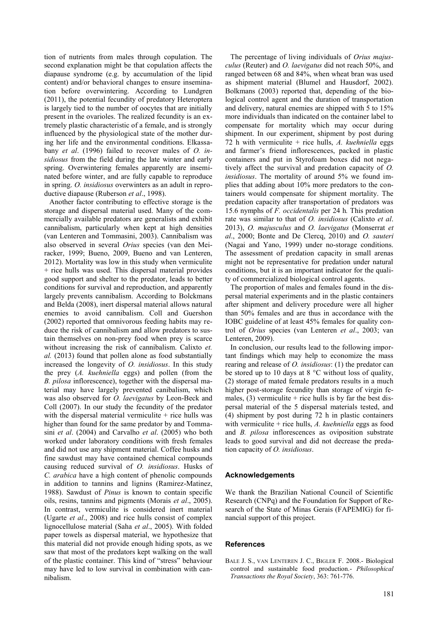tion of nutrients from males through copulation. The second explanation might be that copulation affects the diapause syndrome (e.g. by accumulation of the lipid content) and/or behavioral changes to ensure insemination before overwintering. According to Lundgren (2011), the potential fecundity of predatory Heteroptera is largely tied to the number of oocytes that are initially present in the ovarioles. The realized fecundity is an extremely plastic characteristic of a female, and is strongly influenced by the physiological state of the mother during her life and the environmental conditions. Elkassabany *et al*. (1996) failed to recover males of *O. insidiosus* from the field during the late winter and early spring. Overwintering females apparently are inseminated before winter, and are fully capable to reproduce in spring. *O. insidiosus* overwinters as an adult in reproductive diapause (Ruberson *et al*., 1998).

Another factor contributing to effective storage is the storage and dispersal material used. Many of the commercially available predators are generalists and exhibit cannibalism, particularly when kept at high densities (van Lenteren and Tommasini, 2003). Cannibalism was also observed in several *Orius* species (van den Meiracker, 1999; Bueno, 2009, Bueno and van Lenteren, 2012). Mortality was low in this study when vermiculite + rice hulls was used. This dispersal material provides good support and shelter to the predator, leads to better conditions for survival and reproduction, and apparently largely prevents cannibalism. According to Bolckmans and Belda (2008), inert dispersal material allows natural enemies to avoid cannibalism. Coll and Guershon (2002) reported that omnivorous feeding habits may reduce the risk of cannibalism and allow predators to sustain themselves on non-prey food when prey is scarce without increasing the risk of cannibalism. Calixto *et. al.* (2013) found that pollen alone as food substantially increased the longevity of *O. insidiosus*. In this study the prey (*A. kuehniella* eggs) and pollen (from the *B. pilosa* inflorescence), together with the dispersal material may have largely prevented canibalism, which was also observed for *O. laevigatus* by Leon-Beck and Coll (2007). In our study the fecundity of the predator with the dispersal material vermiculite  $+$  rice hulls was higher than found for the same predator by and Tommasini *et al*. (2004) and Carvalho *et al*. (2005) who both worked under laboratory conditions with fresh females and did not use any shipment material. Coffee husks and fine sawdust may have contained chemical compounds causing reduced survival of *O. insidiosus*. Husks of *C. arabica* have a high content of phenolic compounds in addition to tannins and lignins (Ramirez-Matinez, 1988). Sawdust of *Pinus* is known to contain specific oils, resins, tannins and pigments (Morais *et al*., 2005). In contrast, vermiculite is considered inert material (Ugarte *et al*., 2008) and rice hulls consist of complex lignocellulose material (Saha *et al*., 2005). With folded paper towels as dispersal material, we hypothesize that this material did not provide enough hiding spots, as we saw that most of the predators kept walking on the wall of the plastic container. This kind of "stress" behaviour may have led to low survival in combination with cannibalism.

The percentage of living individuals of *Orius majusculus* (Reuter) and *O. laevigatus* did not reach 50%, and ranged between 68 and 84%, when wheat bran was used as shipment material (Blumel and Hausdorf, 2002). Bolkmans (2003) reported that, depending of the biological control agent and the duration of transportation and delivery, natural enemies are shipped with 5 to 15% more individuals than indicated on the container label to compensate for mortality which may occur during shipment. In our experiment, shipment by post during 72 h with vermiculite + rice hulls, *A. kuehniella* eggs and farmer's friend inflorescences, packed in plastic containers and put in Styrofoam boxes did not negatively affect the survival and predation capacity of *O. insidiosus*. The mortality of around 5% we found implies that adding about 10% more predators to the containers would compensate for shipment mortality. The predation capacity after transportation of predators was 15.6 nymphs of *F. occidentalis* per 24 h*.* This predation rate was similar to that of *O. insidiosus* (Calixto *et al*. 2013), *O. majusculus* and *O. laevigatus* (Monserrat *et al*., 2000; Bonte and De Clercq, 2010) and *O. sauteri*  (Nagai and Yano, 1999) under no-storage conditions. The assessment of predation capacity in small arenas might not be representative for predation under natural conditions, but it is an important indicator for the quality of commercialized biological control agents.

The proportion of males and females found in the dispersal material experiments and in the plastic containers after shipment and delivery procedure were all higher than 50% females and are thus in accordance with the IOBC guideline of at least 45% females for quality control of *Orius* species (van Lenteren *et al*., 2003; van Lenteren, 2009).

In conclusion, our results lead to the following important findings which may help to economize the mass rearing and release of *O. insidiosus*: (1) the predator can be stored up to 10 days at  $8^{\circ}$ C without loss of quality, (2) storage of mated female predators results in a much higher post-storage fecundity than storage of virgin females,  $(3)$  vermiculite + rice hulls is by far the best dispersal material of the 5 dispersal materials tested, and (4) shipment by post during 72 h in plastic containers with vermiculite + rice hulls, *A. kuehniella* eggs as food and *B. pilosa* inflorescences as oviposition substrate leads to good survival and did not decrease the predation capacity of *O. insidiosus*.

#### **Acknowledgements**

We thank the Brazilian National Council of Scientific Research (CNPq) and the Foundation for Support of Research of the State of Minas Gerais (FAPEMIG) for financial support of this project.

#### **References**

BALE J. S., VAN LENTEREN J. C., BIGLER F. 2008.- Biological control and sustainable food production.- *Philosophical Transactions the Royal Society*, 363: 761-776.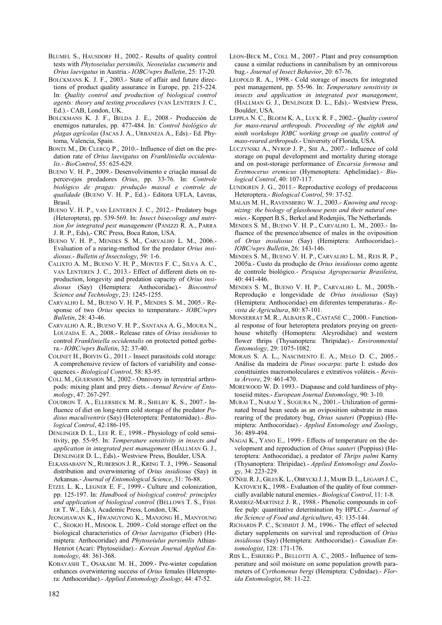- BLUMEL S., HAUSDORF H., 2002.- Results of quality control tests with *Phytoseiulus persimilis, Neoseiulus cucumeris* and *Orius laevigatus* in Austria.- *IOBC/wprs Bulletin*, 25: 17-20.
- BOLCKMANS K. J. F., 2003.- State of affair and future directions of product quality assurance in Europe, pp. 215-224. In: *Quality control and production of biological control agents: theory and testing procedures* (VAN LENTEREN J. C., Ed.).- CAB, London, UK.
- BOLCKMANS K. J. F., BELDA J. E., 2008.- Producción de enemigos naturales, pp. 477-484. In*: Control biológico de plagas agrícolas* (JACAS J. A., URBANEJA A., Eds).- Ed. Phytoma, Valencia, Spain.
- BONTE M., DE CLERCQ P., 2010.- Influence of diet on the predation rate of *Orius laevigatus* on *Frankliniella occidentalis*.- *BioControl*, 55: 625-629.
- BUENO V. H. P., 2009.- Desenvolvimento e criação massal de percevejos predadores *Orius*, pp. 33-76. In: *Controle biológico de pragas: produção massal e controle de qualidade* (BUENO V. H. P., Ed.).- Editora UFLA, Lavras, Brasil.
- BUENO V. H. P., VAN LENTEREN J. C., 2012.- Predatory bugs (Heteroptera), pp. 539-569. In: *Insect bioecology and nutrition for integrated pest management* (PANIZZI R. A., PARRA J. R. P., Eds),- CRC Press, Boca Raton, USA.
- BUENO V. H. P., MENDES S. M., CARVALHO L. M., 2006.- Evaluation of a rearing-method for the predator *Orius insidiosus*.- *Bulletin of Insectology*, 59: 1-6.
- CALIXTO A. M., BUENO V. H. P., MONTES F. C., SILVA A. C., VAN LENTEREN J. C., 2013.- Effect of different diets on reproduction, longevity and predation capacity of *Orius insidiosus* (Say) (Hemiptera: Anthocoridae).- *Biocontrol Science and Technology*, 23: 1245-1255.
- CARVALHO L. M., BUENO V. H. P., MENDES S. M., 2005.- Response of two *Orius* species to temperature.- *IOBC/wprs Bulletin*, 28: 43-46.
- CARVALHO A. R., BUENO V. H. P., SANTANA A. G., MOURA N., LOUZADA E. A., 2008.- Release rates of *Orius insidiosus* to control *Frankliniella occidentalis* on protected potted gerbera.- *IOBC/wprs Bulletin*, 32: 37-40.
- COLINET H., BOIVIN G., 2011.- Insect parasitoids cold storage: A comprehensive review of factors of variability and consequences.- *Biological Control*, 58: 83-95.
- COLL M., GUERSHON M., 2002.- Onnivory in terrestrial arthropods: mixing plant and prey diets.- *Annual Review of Entomology*, 47: 267-297.
- COUDRON T. A., ELLERSIECK M. R., SHELBY K. S., 2007.- Influence of diet on long-term cold storage of the predator *Podisus maculiventris* (Say) (Heteroptera: Pentatomidae).- *Biological Control*, 42:186-195.
- DENLINGER D. L., LEE R. E., 1998.- Physiology of cold sensitivity, pp. 55-95. In: *Temperature sensitivity in insects and application in integrated pest management* (HALLMAN G. J., DENLINGER D. L., Eds).- Westview Press, Boulder, USA.
- ELKASSABANY N., RUBERSON J. R., KRING T. J., 1996.- Seasonal distribution and overwintering of *Orius insidiosus* (Say) in Arkansas.- *Journal of Entomological Science*, 31: 76-88.
- ETZEL L. K., LEGNER E. F., 1999.- Culture and colonization, pp. 125-197. In: *Handbook of biological control: principles and application of biological control* (BELLOWS T. S., FISH-ER T. W., Eds.), Academic Press, London, UK.
- JEONGHAWAN K., HWANGYONG K., MANJONG H., MANYOUNG C., SEOKJO H., MISOOK L. 2009.- Cold storage effect on the biological characteristics of *Orius laevigatus* (Fieber) (Hemiptera: Anthocoridae) and *Phytoseiulus persimilis* Athias-Henriot (Acari: Phytoseiidae).- *Korean Journal Applied Entomology*, 48: 361-368.
- KOBAYASHI T., OSAKABE M. H., 2009.- Pre-winter copulation enhances overwintering success of *Orius* females (Heteroptera: Anthocoridae).- *Applied Entomology Zoology*, 44: 47-52.
- LEON-BECK M., COLL M., 2007.- Plant and prey consumption cause a similar reductions in cannibalism by an omnivorous bug.- *Journal of Insect Behavior*, 20: 67-76.
- LEOPOLD R. A., 1998.- Cold storage of insects for integrated pest management, pp. 55-96. In: *Temperature sensitivity in insects and application in integrated pest management*, (HALLMAN G. J., DENLINGER D. L., Eds).- Westview Press, Boulder, USA.
- LEPPLA N. C., BLOEM K. A., LUCK R. F., 2002.- *Quality control for mass-reared arthropods*. *Proceeding of the eighth and ninth workshops IOBC working group on quality control of mass-reared arthropods*.- University of Florida, USA.
- LUCZYNSKI A., NYROP J. P., SHI A., 2007.- Influence of cold storage on pupal development and mortality during storage and on post-storage performance of *Encarsia formosa* and *Eretmocerus eremicus* (Hymenoptera: Aphelinidae).- *Biological Control*, 40: 107-117.
- LUNDGREN J. G., 2011.- Reproductive ecology of predaceous Heteroptera.- *Biological Control*, 59: 37-52.
- MALAIS M. H., RAVENSBERG W. J., 2003.- *Knowing and recognizing: the biology of glasshouse pests and their natural enemies*.- Koppert B.S., Berkel and Rodenjiis, The Netherlands.
- MENDES S. M., BUENO V. H. P., CARVALHO L. M., 2003.- Influence of the presence/absence of males in the oviposition of *Orius insidiosus* (Say) (Hemiptera: Anthocoridae).- *IOBC/wprs Bulletin*, 26: 143-146.
- MENDES S. M., BUENO V. H. P., CARVALHO L. M., REIS R. P., 2005a.- Custo da produção de *Orius insidiosus* como agente de controle biológico.- *Pesquisa Agropecuaria Brasileira*, 40: 441-446.
- MENDES S. M., BUENO V. H. P., CARVALHO L. M., 2005b.- Reprodução e longevidade de *Orius insidiosus* (Say) (Hemiptera: Anthocoridae) em diferentes temperaturas.- *Revista de Agricultura*, 80: 87-101.
- MONSERRAT M. R., ALBAJES R., CASTAÑÉ C., 2000.- Functional response of four heteroptera predators preying on greenhouse whitefly (Homoptera: Aleyrodidae) and western flower thrips (Thysanoptera: Thripidae).- *Environmental Entomology*, 29: 1075-1082.
- MORAIS S. A. L., NASCIMENTO E. A., MELO D. C., 2005.- Análise da madeira de *Pinus oocarpa*: parte I: estudo dos constituintes macromoleculares e extrativos voláteis.- *Revista Árvore*, 29: 461-470.
- MOREWOOD W. D. 1993.- Diapause and cold hardiness of phytoseiid mites.- *European Journal Entomology*, 90: 3-10.
- MURAI T., NARAI Y., SUGIURA N., 2001.- Utilization of germinated broad bean seeds as an oviposition substrate in mass rearing of the predatory bug, *Orius sauteri* (Poppius) (Hemiptera: Anthocoridae).- *Applied Entomology and Zoology*, 36: 489-494.
- NAGAI K., YANO E., 1999.- Effects of temperature on the development and reproduction of *Orius sauteri* (Poppius) (Heteroptera: Anthocoridae), a predator of *Thrips palmi* Karny (Thysanoptera: Thripidae).- *Applied Entomology and Zoology*, 34: 223-229.
- O'NEIL R.J., GILES K. L., OBRYCKI J.J., MAHR D. L., LEGASPI J.C., KATOVICH K., 1998.- Evaluation of the quality of four commercially available natural enemies.- *Biological Control*, 11: 1-8.
- RAMIREZ-MARTINEZ J. R., 1988.- Phenolic compounds in coffee pulp: quantitative determination by HPLC.- *Journal of the Science of Food and Agriculture*, 43: 135-144.
- RICHARDS P. C., SCHMIDT J. M., 1996.- The effect of selected dietary supplements on survival and reproduction of *Orius insidiosus* (Say) (Hemiptera: Anthocoridae).- *Canadian Entomologist*, 128: 171-176.
- RIIS L., ESBJERG P., BELLOTTI A. C., 2005.- Influence of temperature and soil moisture on some population growth parameters of *Cyrthomenus bergi* (Hemiptera: Cydnidae).- *Florida Entomologist*, 88: 11-22.